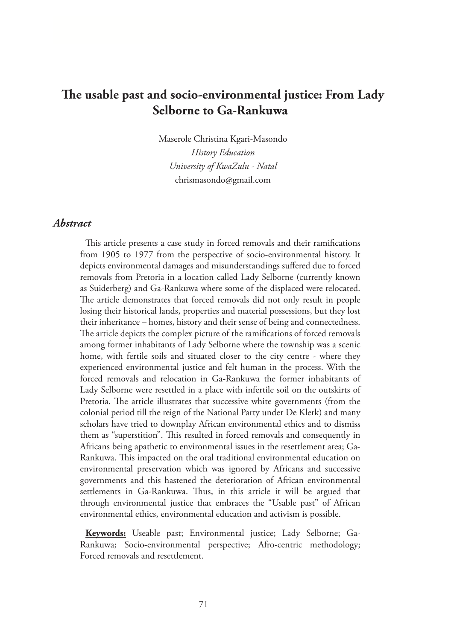# **The usable past and socio-environmental justice: From Lady Selborne to Ga-Rankuwa**

Maserole Christina Kgari-Masondo *History Education University of KwaZulu - Natal* chrismasondo@gmail.com

### *Abstract*

This article presents a case study in forced removals and their ramifications from 1905 to 1977 from the perspective of socio-environmental history. It depicts environmental damages and misunderstandings suffered due to forced removals from Pretoria in a location called Lady Selborne (currently known as Suiderberg) and Ga-Rankuwa where some of the displaced were relocated. The article demonstrates that forced removals did not only result in people losing their historical lands, properties and material possessions, but they lost their inheritance – homes, history and their sense of being and connectedness. The article depicts the complex picture of the ramifications of forced removals among former inhabitants of Lady Selborne where the township was a scenic home, with fertile soils and situated closer to the city centre - where they experienced environmental justice and felt human in the process. With the forced removals and relocation in Ga-Rankuwa the former inhabitants of Lady Selborne were resettled in a place with infertile soil on the outskirts of Pretoria. The article illustrates that successive white governments (from the colonial period till the reign of the National Party under De Klerk) and many scholars have tried to downplay African environmental ethics and to dismiss them as "superstition". This resulted in forced removals and consequently in Africans being apathetic to environmental issues in the resettlement area; Ga-Rankuwa. This impacted on the oral traditional environmental education on environmental preservation which was ignored by Africans and successive governments and this hastened the deterioration of African environmental settlements in Ga-Rankuwa. Thus, in this article it will be argued that through environmental justice that embraces the "Usable past" of African environmental ethics, environmental education and activism is possible.

**Keywords:** Useable past; Environmental justice; Lady Selborne; Ga-Rankuwa; Socio-environmental perspective; Afro-centric methodology; Forced removals and resettlement.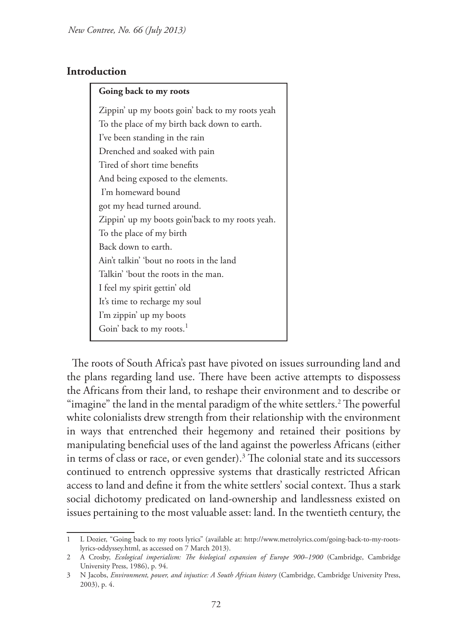## **Introduction**

| Going back to my roots                          |
|-------------------------------------------------|
| Zippin' up my boots goin' back to my roots yeah |
| To the place of my birth back down to earth.    |
| I've been standing in the rain                  |
| Drenched and soaked with pain                   |
| Tired of short time benefits                    |
| And being exposed to the elements.              |
| I'm homeward bound                              |
| got my head turned around.                      |
| Zippin' up my boots goin'back to my roots yeah. |
| To the place of my birth                        |
| Back down to earth.                             |
| Ain't talkin' 'bout no roots in the land        |
| Talkin' 'bout the roots in the man.             |
| I feel my spirit gettin' old                    |
| It's time to recharge my soul                   |
| I'm zippin' up my boots                         |
| Goin' back to my roots. <sup>1</sup>            |

The roots of South Africa's past have pivoted on issues surrounding land and the plans regarding land use. There have been active attempts to dispossess the Africans from their land, to reshape their environment and to describe or "imagine" the land in the mental paradigm of the white settlers. $^2$  The powerful white colonialists drew strength from their relationship with the environment in ways that entrenched their hegemony and retained their positions by manipulating beneficial uses of the land against the powerless Africans (either in terms of class or race, or even gender). $3$  The colonial state and its successors continued to entrench oppressive systems that drastically restricted African access to land and define it from the white settlers' social context. Thus a stark social dichotomy predicated on land-ownership and landlessness existed on issues pertaining to the most valuable asset: land. In the twentieth century, the

<sup>1</sup> L Dozier, "Going back to my roots lyrics" (available at: http://www.metrolyrics.com/going-back-to-my-rootslyrics-oddyssey.html, as accessed on 7 March 2013).

<sup>2</sup> A Crosby, *Ecological imperialism: The biological expansion of Europe 900–1900* (Cambridge, Cambridge University Press, 1986), p. 94.

<sup>3</sup> N Jacobs, *Environment, power, and injustice: A South African history* (Cambridge, Cambridge University Press, 2003), p. 4.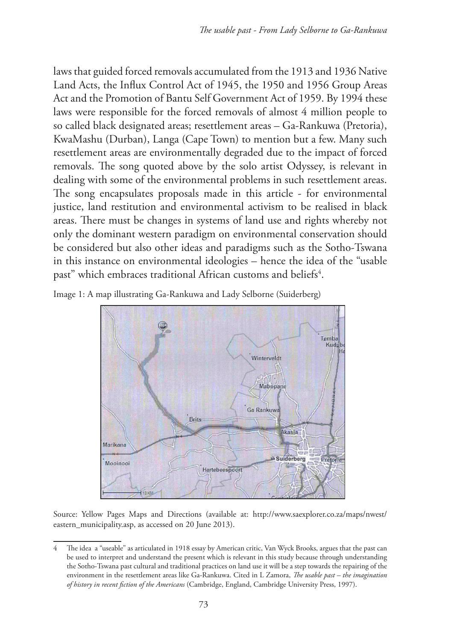laws that guided forced removals accumulated from the 1913 and 1936 Native Land Acts, the Influx Control Act of 1945, the 1950 and 1956 Group Areas Act and the Promotion of Bantu Self Government Act of 1959. By 1994 these laws were responsible for the forced removals of almost 4 million people to so called black designated areas; resettlement areas – Ga-Rankuwa (Pretoria), KwaMashu (Durban), Langa (Cape Town) to mention but a few. Many such resettlement areas are environmentally degraded due to the impact of forced removals. The song quoted above by the solo artist Odyssey, is relevant in dealing with some of the environmental problems in such resettlement areas. The song encapsulates proposals made in this article - for environmental justice, land restitution and environmental activism to be realised in black areas. There must be changes in systems of land use and rights whereby not only the dominant western paradigm on environmental conservation should be considered but also other ideas and paradigms such as the Sotho-Tswana in this instance on environmental ideologies – hence the idea of the "usable past" which embraces traditional African customs and beliefs $4$ .





Source: Yellow Pages Maps and Directions (available at: http://www.saexplorer.co.za/maps/nwest/ eastern\_municipality.asp, as accessed on 20 June 2013).

<sup>4</sup> The idea a "useable" as articulated in 1918 essay by American critic, Van Wyck Brooks, argues that the past can be used to interpret and understand the present which is relevant in this study because through understanding the Sotho-Tswana past cultural and traditional practices on land use it will be a step towards the repairing of the environment in the resettlement areas like Ga-Rankuwa. Cited in L Zamora, *The usable past – the imagination of history in recent fiction of the Americans* (Cambridge, England, Cambridge University Press, 1997).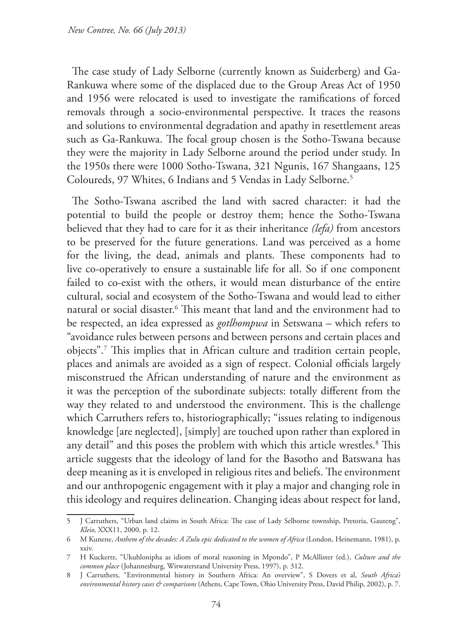The case study of Lady Selborne (currently known as Suiderberg) and Ga-Rankuwa where some of the displaced due to the Group Areas Act of 1950 and 1956 were relocated is used to investigate the ramifications of forced removals through a socio-environmental perspective. It traces the reasons and solutions to environmental degradation and apathy in resettlement areas such as Ga-Rankuwa. The focal group chosen is the Sotho-Tswana because they were the majority in Lady Selborne around the period under study. In the 1950s there were 1000 Sotho-Tswana, 321 Ngunis, 167 Shangaans, 125 Coloureds, 97 Whites, 6 Indians and 5 Vendas in Lady Selborne.<sup>5</sup>

The Sotho-Tswana ascribed the land with sacred character: it had the potential to build the people or destroy them; hence the Sotho-Tswana believed that they had to care for it as their inheritance *(lefa)* from ancestors to be preserved for the future generations. Land was perceived as a home for the living, the dead, animals and plants. These components had to live co-operatively to ensure a sustainable life for all. So if one component failed to co-exist with the others, it would mean disturbance of the entire cultural, social and ecosystem of the Sotho-Tswana and would lead to either natural or social disaster.6 This meant that land and the environment had to be respected, an idea expressed as *gotlhompwa* in Setswana – which refers to "avoidance rules between persons and between persons and certain places and objects".7 This implies that in African culture and tradition certain people, places and animals are avoided as a sign of respect. Colonial officials largely misconstrued the African understanding of nature and the environment as it was the perception of the subordinate subjects: totally different from the way they related to and understood the environment. This is the challenge which Carruthers refers to, historiographically; "issues relating to indigenous knowledge [are neglected], [simply] are touched upon rather than explored in any detail" and this poses the problem with which this article wrestles.8 This article suggests that the ideology of land for the Basotho and Batswana has deep meaning as it is enveloped in religious rites and beliefs. The environment and our anthropogenic engagement with it play a major and changing role in this ideology and requires delineation. Changing ideas about respect for land,

<sup>5</sup> J Carruthers, "Urban land claims in South Africa: The case of Lady Selborne township, Pretoria, Gauteng", *Kleio,* XXX11, 2000, p. 12.

<sup>6</sup> M Kunene, *Anthem of the decades: A Zulu epic dedicated to the women of Africa* (London, Heinemann, 1981), p. xxiv.

<sup>7</sup> H Kuckertz, "Ukuhlonipha as idiom of moral reasoning in Mpondo", P McAllister (ed.), *Culture and the common place* (Johannesburg, Witwatersrand University Press, 1997), p. 312.

<sup>8</sup> J Carruthers, "Environmental history in Southern Africa: An overview", S Dovers et al, *South Africa's environmental history cases & comparisons* (Athens, Cape Town, Ohio University Press, David Philip, 2002), p. 7.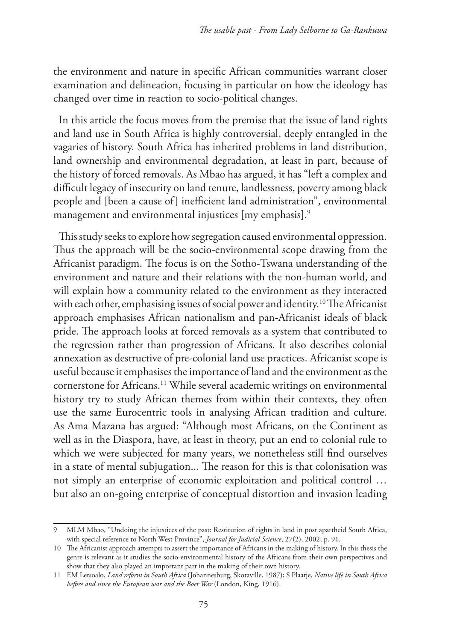the environment and nature in specific African communities warrant closer examination and delineation, focusing in particular on how the ideology has changed over time in reaction to socio-political changes.

In this article the focus moves from the premise that the issue of land rights and land use in South Africa is highly controversial, deeply entangled in the vagaries of history. South Africa has inherited problems in land distribution, land ownership and environmental degradation, at least in part, because of the history of forced removals. As Mbao has argued, it has "left a complex and difficult legacy of insecurity on land tenure, landlessness, poverty among black people and [been a cause of] inefficient land administration", environmental management and environmental injustices [my emphasis].<sup>9</sup>

This study seeks to explore how segregation caused environmental oppression. Thus the approach will be the socio-environmental scope drawing from the Africanist paradigm. The focus is on the Sotho-Tswana understanding of the environment and nature and their relations with the non-human world, and will explain how a community related to the environment as they interacted with each other, emphasising issues of social power and identity.<sup>10</sup> The Africanist approach emphasises African nationalism and pan-Africanist ideals of black pride. The approach looks at forced removals as a system that contributed to the regression rather than progression of Africans. It also describes colonial annexation as destructive of pre-colonial land use practices. Africanist scope is useful because it emphasises the importance of land and the environment as the cornerstone for Africans.<sup>11</sup> While several academic writings on environmental history try to study African themes from within their contexts, they often use the same Eurocentric tools in analysing African tradition and culture. As Ama Mazana has argued: "Although most Africans, on the Continent as well as in the Diaspora, have, at least in theory, put an end to colonial rule to which we were subjected for many years, we nonetheless still find ourselves in a state of mental subjugation... The reason for this is that colonisation was not simply an enterprise of economic exploitation and political control … but also an on-going enterprise of conceptual distortion and invasion leading

<sup>9</sup> MLM Mbao, "Undoing the injustices of the past: Restitution of rights in land in post apartheid South Africa, with special reference to North West Province", *Journal for Judicial Science*, 27(2), 2002, p. 91.

<sup>10</sup> The Africanist approach attempts to assert the importance of Africans in the making of history. In this thesis the genre is relevant as it studies the socio-environmental history of the Africans from their own perspectives and show that they also played an important part in the making of their own history.

<sup>11</sup> EM Letsoalo, *Land reform in South Africa* (Johannesburg, Skotaville, 1987); S Plaatje, *Native life in South Africa before and since the European war and the Boer War* (London, King, 1916).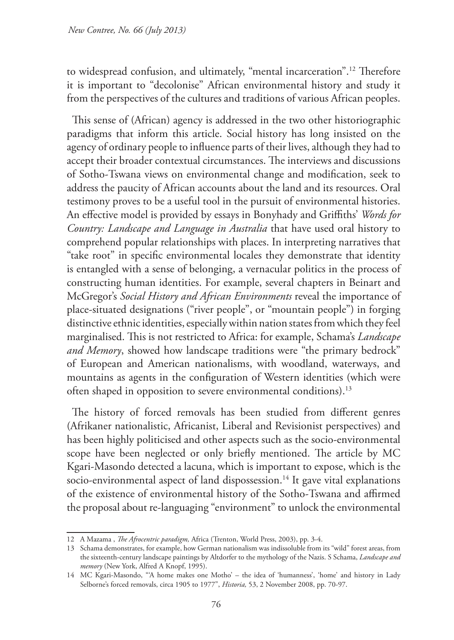to widespread confusion, and ultimately, "mental incarceration".12 Therefore it is important to "decolonise" African environmental history and study it from the perspectives of the cultures and traditions of various African peoples.

This sense of (African) agency is addressed in the two other historiographic paradigms that inform this article. Social history has long insisted on the agency of ordinary people to influence parts of their lives, although they had to accept their broader contextual circumstances. The interviews and discussions of Sotho-Tswana views on environmental change and modification, seek to address the paucity of African accounts about the land and its resources. Oral testimony proves to be a useful tool in the pursuit of environmental histories. An effective model is provided by essays in Bonyhady and Griffiths' *Words for Country: Landscape and Language in Australia* that have used oral history to comprehend popular relationships with places. In interpreting narratives that "take root" in specific environmental locales they demonstrate that identity is entangled with a sense of belonging, a vernacular politics in the process of constructing human identities. For example, several chapters in Beinart and McGregor's *Social History and African Environments* reveal the importance of place-situated designations ("river people", or "mountain people") in forging distinctive ethnic identities, especially within nation states from which they feel marginalised. This is not restricted to Africa: for example, Schama's *Landscape and Memory*, showed how landscape traditions were "the primary bedrock" of European and American nationalisms, with woodland, waterways, and mountains as agents in the configuration of Western identities (which were often shaped in opposition to severe environmental conditions).<sup>13</sup>

The history of forced removals has been studied from different genres (Afrikaner nationalistic, Africanist, Liberal and Revisionist perspectives) and has been highly politicised and other aspects such as the socio-environmental scope have been neglected or only briefly mentioned. The article by MC Kgari-Masondo detected a lacuna, which is important to expose, which is the socio-environmental aspect of land dispossession.<sup>14</sup> It gave vital explanations of the existence of environmental history of the Sotho-Tswana and affirmed the proposal about re-languaging "environment" to unlock the environmental

<sup>12</sup> A Mazama , *The Afrocentric paradigm,* Africa (Trenton, World Press, 2003), pp. 3-4.

<sup>13</sup> Schama demonstrates, for example, how German nationalism was indissoluble from its "wild" forest areas, from the sixteenth-century landscape paintings by Altdorfer to the mythology of the Nazis. S Schama, *Landscape and memory* (New York, Alfred A Knopf, 1995).

<sup>14</sup> MC Kgari-Masondo, "'A home makes one Motho' – the idea of 'humanness', 'home' and history in Lady Selborne's forced removals, circa 1905 to 1977", *Historia,* 53, 2 November 2008, pp. 70-97.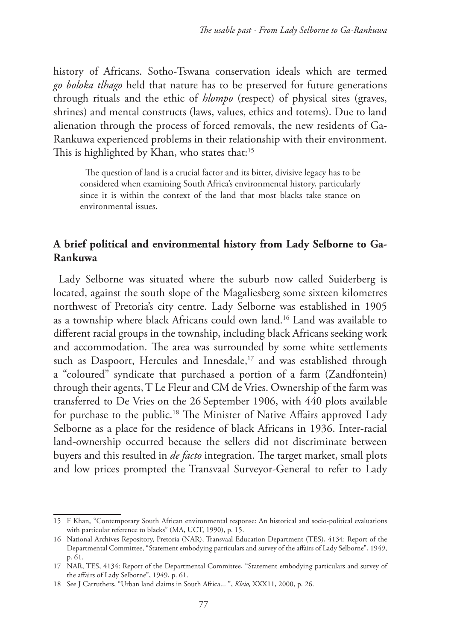history of Africans. Sotho-Tswana conservation ideals which are termed *go boloka tlhago* held that nature has to be preserved for future generations through rituals and the ethic of *hlompo* (respect) of physical sites (graves, shrines) and mental constructs (laws, values, ethics and totems). Due to land alienation through the process of forced removals, the new residents of Ga-Rankuwa experienced problems in their relationship with their environment. This is highlighted by Khan, who states that:<sup>15</sup>

The question of land is a crucial factor and its bitter, divisive legacy has to be considered when examining South Africa's environmental history, particularly since it is within the context of the land that most blacks take stance on environmental issues.

## **A brief political and environmental history from Lady Selborne to Ga-Rankuwa**

Lady Selborne was situated where the suburb now called Suiderberg is located, against the south slope of the Magaliesberg some sixteen kilometres northwest of Pretoria's city centre. Lady Selborne was established in 1905 as a township where black Africans could own land.16 Land was available to different racial groups in the township, including black Africans seeking work and accommodation. The area was surrounded by some white settlements such as Daspoort, Hercules and Innesdale,<sup>17</sup> and was established through a "coloured" syndicate that purchased a portion of a farm (Zandfontein) through their agents, T Le Fleur and CM de Vries. Ownership of the farm was transferred to De Vries on the 26 September 1906, with 440 plots available for purchase to the public.18 The Minister of Native Affairs approved Lady Selborne as a place for the residence of black Africans in 1936. Inter-racial land-ownership occurred because the sellers did not discriminate between buyers and this resulted in *de facto* integration. The target market, small plots and low prices prompted the Transvaal Surveyor-General to refer to Lady

<sup>15</sup> F Khan, "Contemporary South African environmental response: An historical and socio-political evaluations with particular reference to blacks" (MA, UCT, 1990), p. 15.

<sup>16</sup> National Archives Repository, Pretoria (NAR), Transvaal Education Department (TES), 4134: Report of the Departmental Committee, "Statement embodying particulars and survey of the affairs of Lady Selborne", 1949, p. 61.

<sup>17</sup> NAR, TES, 4134: Report of the Departmental Committee, "Statement embodying particulars and survey of the affairs of Lady Selborne", 1949, p. 61.

<sup>18</sup> See J Carruthers, "Urban land claims in South Africa... ", *Kleio,* XXX11, 2000, p. 26.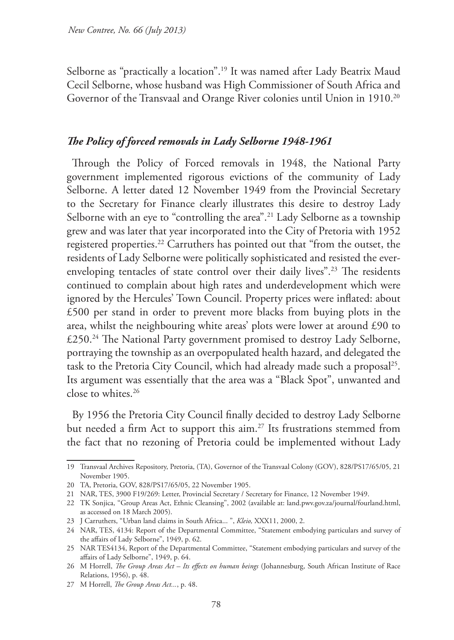Selborne as "practically a location".19 It was named after Lady Beatrix Maud Cecil Selborne, whose husband was High Commissioner of South Africa and Governor of the Transvaal and Orange River colonies until Union in 1910.<sup>20</sup>

## *The Policy of forced removals in Lady Selborne 1948-1961*

Through the Policy of Forced removals in 1948, the National Party government implemented rigorous evictions of the community of Lady Selborne. A letter dated 12 November 1949 from the Provincial Secretary to the Secretary for Finance clearly illustrates this desire to destroy Lady Selborne with an eye to "controlling the area".<sup>21</sup> Lady Selborne as a township grew and was later that year incorporated into the City of Pretoria with 1952 registered properties.<sup>22</sup> Carruthers has pointed out that "from the outset, the residents of Lady Selborne were politically sophisticated and resisted the everenveloping tentacles of state control over their daily lives".<sup>23</sup> The residents continued to complain about high rates and underdevelopment which were ignored by the Hercules' Town Council. Property prices were inflated: about £500 per stand in order to prevent more blacks from buying plots in the area, whilst the neighbouring white areas' plots were lower at around £90 to £250.24 The National Party government promised to destroy Lady Selborne, portraying the township as an overpopulated health hazard, and delegated the task to the Pretoria City Council, which had already made such a proposal<sup>25</sup>. Its argument was essentially that the area was a "Black Spot", unwanted and close to whites.26

By 1956 the Pretoria City Council finally decided to destroy Lady Selborne but needed a firm Act to support this aim.<sup>27</sup> Its frustrations stemmed from the fact that no rezoning of Pretoria could be implemented without Lady

<sup>19</sup> Transvaal Archives Repository, Pretoria, (TA), Governor of the Transvaal Colony (GOV), 828/PS17/65/05, 21 November 1905.

<sup>20</sup> TA, Pretoria, GOV, 828/PS17/65/05, 22 November 1905.

<sup>21</sup> NAR, TES, 3900 F19/269: Letter, Provincial Secretary / Secretary for Finance, 12 November 1949.

<sup>22</sup> TK Sonjica, ''Group Areas Act, Ethnic Cleansing'', 2002 (available at: land.pwv.gov.za/journal/fourland.html, as accessed on 18 March 2005).

<sup>23</sup> J Carruthers, "Urban land claims in South Africa... ", *Kleio,* XXX11, 2000, 2.

<sup>24</sup> NAR, TES, 4134: Report of the Departmental Committee, "Statement embodying particulars and survey of the affairs of Lady Selborne", 1949, p. 62.

<sup>25</sup> NAR TES4134, Report of the Departmental Committee, "Statement embodying particulars and survey of the affairs of Lady Selborne", 1949, p. 64.

<sup>26</sup> M Horrell, *The Group Areas Act – Its effects on human beings* (Johannesburg, South African Institute of Race Relations, 1956), p. 48.

<sup>27</sup> M Horrell, *The Group Areas Act...*, p. 48.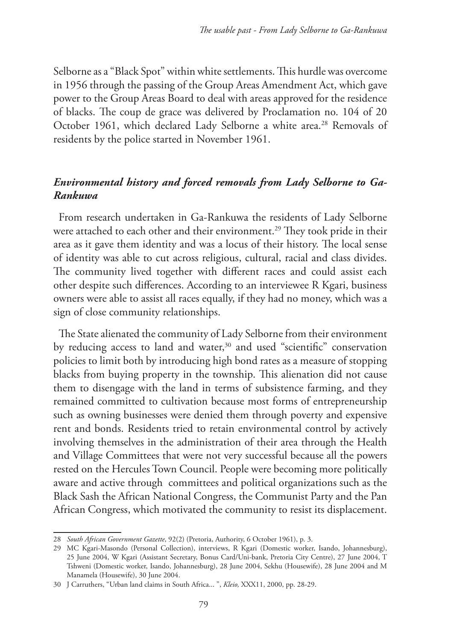Selborne as a "Black Spot" within white settlements. This hurdle was overcome in 1956 through the passing of the Group Areas Amendment Act, which gave power to the Group Areas Board to deal with areas approved for the residence of blacks. The coup de grace was delivered by Proclamation no. 104 of 20 October 1961, which declared Lady Selborne a white area.<sup>28</sup> Removals of residents by the police started in November 1961.

## *Environmental history and forced removals from Lady Selborne to Ga-Rankuwa*

From research undertaken in Ga-Rankuwa the residents of Lady Selborne were attached to each other and their environment.<sup>29</sup> They took pride in their area as it gave them identity and was a locus of their history. The local sense of identity was able to cut across religious, cultural, racial and class divides. The community lived together with different races and could assist each other despite such differences. According to an interviewee R Kgari, business owners were able to assist all races equally, if they had no money, which was a sign of close community relationships.

The State alienated the community of Lady Selborne from their environment by reducing access to land and water,<sup>30</sup> and used "scientific" conservation policies to limit both by introducing high bond rates as a measure of stopping blacks from buying property in the township. This alienation did not cause them to disengage with the land in terms of subsistence farming, and they remained committed to cultivation because most forms of entrepreneurship such as owning businesses were denied them through poverty and expensive rent and bonds. Residents tried to retain environmental control by actively involving themselves in the administration of their area through the Health and Village Committees that were not very successful because all the powers rested on the Hercules Town Council. People were becoming more politically aware and active through committees and political organizations such as the Black Sash the African National Congress, the Communist Party and the Pan African Congress, which motivated the community to resist its displacement.

<sup>28</sup> *South African Government Gazette*, 92(2) (Pretoria, Authority, 6 October 1961), p. 3.

<sup>29</sup> MC Kgari-Masondo (Personal Collection), interviews, R Kgari (Domestic worker, Isando, Johannesburg), 25 June 2004, W Kgari (Assistant Secretary, Bonus Card/Uni-bank, Pretoria City Centre), 27 June 2004, T Tshweni (Domestic worker, Isando, Johannesburg), 28 June 2004, Sekhu (Housewife), 28 June 2004 and M Manamela (Housewife), 30 June 2004.

<sup>30</sup> J Carruthers, "Urban land claims in South Africa... ", *Kleio,* XXX11, 2000, pp. 28-29.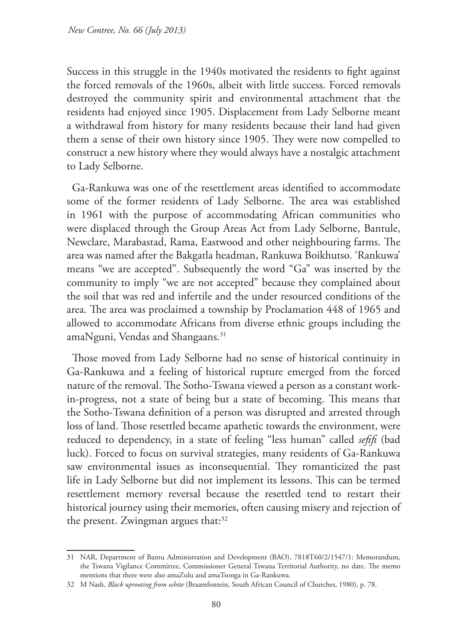Success in this struggle in the 1940s motivated the residents to fight against the forced removals of the 1960s, albeit with little success. Forced removals destroyed the community spirit and environmental attachment that the residents had enjoyed since 1905. Displacement from Lady Selborne meant a withdrawal from history for many residents because their land had given them a sense of their own history since 1905. They were now compelled to construct a new history where they would always have a nostalgic attachment to Lady Selborne.

Ga-Rankuwa was one of the resettlement areas identified to accommodate some of the former residents of Lady Selborne. The area was established in 1961 with the purpose of accommodating African communities who were displaced through the Group Areas Act from Lady Selborne, Bantule, Newclare, Marabastad, Rama, Eastwood and other neighbouring farms. The area was named after the Bakgatla headman, Rankuwa Boikhutso. 'Rankuwa' means "we are accepted". Subsequently the word "Ga" was inserted by the community to imply "we are not accepted" because they complained about the soil that was red and infertile and the under resourced conditions of the area. The area was proclaimed a township by Proclamation 448 of 1965 and allowed to accommodate Africans from diverse ethnic groups including the amaNguni, Vendas and Shangaans.<sup>31</sup>

Those moved from Lady Selborne had no sense of historical continuity in Ga-Rankuwa and a feeling of historical rupture emerged from the forced nature of the removal. The Sotho-Tswana viewed a person as a constant workin-progress, not a state of being but a state of becoming. This means that the Sotho-Tswana definition of a person was disrupted and arrested through loss of land. Those resettled became apathetic towards the environment, were reduced to dependency, in a state of feeling "less human" called *sefifi* (bad luck). Forced to focus on survival strategies, many residents of Ga-Rankuwa saw environmental issues as inconsequential. They romanticized the past life in Lady Selborne but did not implement its lessons. This can be termed resettlement memory reversal because the resettled tend to restart their historical journey using their memories, often causing misery and rejection of the present. Zwingman argues that:<sup>32</sup>

<sup>31</sup> NAR, Department of Bantu Administration and Development (BAO), 7818T60/2/1547/1: Memorandum, the Tswana Vigilance Committee, Commissioner General Tswana Territorial Authority, no date. The memo mentions that there were also amaZulu and amaTsonga in Ga-Rankuwa.

<sup>32</sup> M Nash, *Black uprooting from white* (Braamfontein, South African Council of Churches, 1980), p. 78.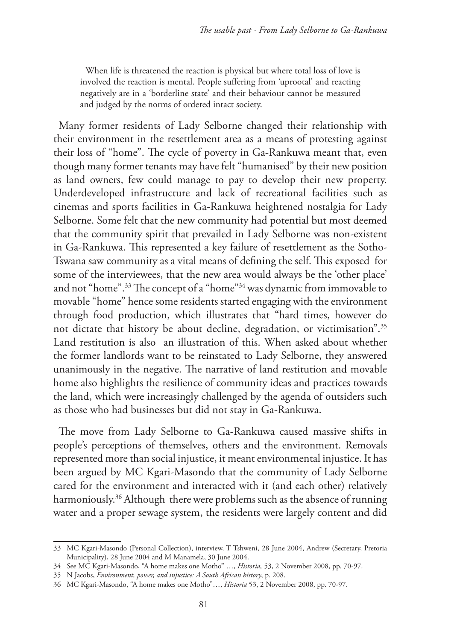When life is threatened the reaction is physical but where total loss of love is involved the reaction is mental. People suffering from 'uprootal' and reacting negatively are in a 'borderline state' and their behaviour cannot be measured and judged by the norms of ordered intact society.

Many former residents of Lady Selborne changed their relationship with their environment in the resettlement area as a means of protesting against their loss of "home". The cycle of poverty in Ga-Rankuwa meant that, even though many former tenants may have felt "humanised" by their new position as land owners, few could manage to pay to develop their new property. Underdeveloped infrastructure and lack of recreational facilities such as cinemas and sports facilities in Ga-Rankuwa heightened nostalgia for Lady Selborne. Some felt that the new community had potential but most deemed that the community spirit that prevailed in Lady Selborne was non-existent in Ga-Rankuwa. This represented a key failure of resettlement as the Sotho-Tswana saw community as a vital means of defining the self. This exposed for some of the interviewees, that the new area would always be the 'other place' and not "home".33 The concept of a "home"34 was dynamic from immovable to movable "home" hence some residents started engaging with the environment through food production, which illustrates that "hard times, however do not dictate that history be about decline, degradation, or victimisation".35 Land restitution is also an illustration of this. When asked about whether the former landlords want to be reinstated to Lady Selborne, they answered unanimously in the negative. The narrative of land restitution and movable home also highlights the resilience of community ideas and practices towards the land, which were increasingly challenged by the agenda of outsiders such as those who had businesses but did not stay in Ga-Rankuwa.

The move from Lady Selborne to Ga-Rankuwa caused massive shifts in people's perceptions of themselves, others and the environment. Removals represented more than social injustice, it meant environmental injustice. It has been argued by MC Kgari-Masondo that the community of Lady Selborne cared for the environment and interacted with it (and each other) relatively harmoniously.<sup>36</sup> Although there were problems such as the absence of running water and a proper sewage system, the residents were largely content and did

<sup>33</sup> MC Kgari-Masondo (Personal Collection), interview, T Tshweni, 28 June 2004, Andrew (Secretary, Pretoria Municipality), 28 June 2004 and M Manamela, 30 June 2004.

<sup>34</sup> See MC Kgari-Masondo, "A home makes one Motho" …, *Historia,* 53, 2 November 2008, pp. 70-97.

<sup>35</sup> N Jacobs, *Environment, power, and injustice: A South African history*, p. 208.

<sup>36</sup> MC Kgari-Masondo, "A home makes one Motho"…, *Historia* 53, 2 November 2008, pp. 70-97.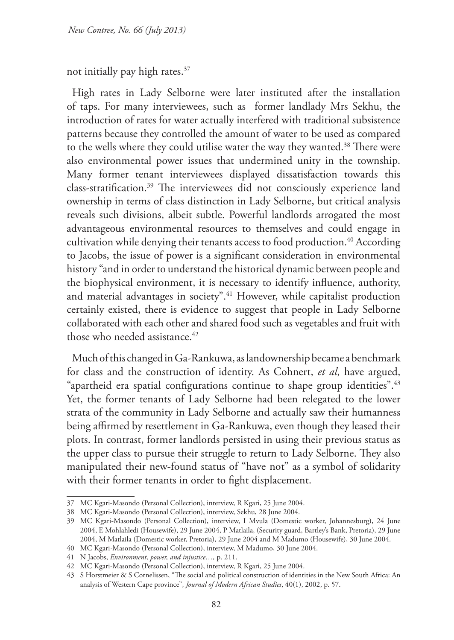not initially pay high rates.37

High rates in Lady Selborne were later instituted after the installation of taps. For many interviewees, such as former landlady Mrs Sekhu, the introduction of rates for water actually interfered with traditional subsistence patterns because they controlled the amount of water to be used as compared to the wells where they could utilise water the way they wanted.<sup>38</sup> There were also environmental power issues that undermined unity in the township. Many former tenant interviewees displayed dissatisfaction towards this class-stratification.39 The interviewees did not consciously experience land ownership in terms of class distinction in Lady Selborne, but critical analysis reveals such divisions, albeit subtle. Powerful landlords arrogated the most advantageous environmental resources to themselves and could engage in cultivation while denying their tenants access to food production.<sup>40</sup> According to Jacobs, the issue of power is a significant consideration in environmental history "and in order to understand the historical dynamic between people and the biophysical environment, it is necessary to identify influence, authority, and material advantages in society".<sup>41</sup> However, while capitalist production certainly existed, there is evidence to suggest that people in Lady Selborne collaborated with each other and shared food such as vegetables and fruit with those who needed assistance.<sup>42</sup>

Much of this changed in Ga-Rankuwa, as landownership became a benchmark for class and the construction of identity. As Cohnert, *et al*, have argued, "apartheid era spatial configurations continue to shape group identities".<sup>43</sup> Yet, the former tenants of Lady Selborne had been relegated to the lower strata of the community in Lady Selborne and actually saw their humanness being affirmed by resettlement in Ga-Rankuwa, even though they leased their plots. In contrast, former landlords persisted in using their previous status as the upper class to pursue their struggle to return to Lady Selborne. They also manipulated their new-found status of "have not" as a symbol of solidarity with their former tenants in order to fight displacement.

<sup>37</sup> MC Kgari-Masondo (Personal Collection), interview, R Kgari, 25 June 2004.

<sup>38</sup> MC Kgari-Masondo (Personal Collection), interview, Sekhu, 28 June 2004.

<sup>39</sup> MC Kgari-Masondo (Personal Collection), interview, I Mvula (Domestic worker, Johannesburg), 24 June 2004, E Mohlahledi (Housewife), 29 June 2004, P Matlaila, (Security guard, Bartley's Bank, Pretoria), 29 June 2004, M Matlaila (Domestic worker, Pretoria), 29 June 2004 and M Madumo (Housewife), 30 June 2004.

<sup>40</sup> MC Kgari-Masondo (Personal Collection), interview, M Madumo, 30 June 2004.

<sup>41</sup> N Jacobs, *Environment, power, and injustice…,* p. 211.

<sup>42</sup> MC Kgari-Masondo (Personal Collection), interview, R Kgari, 25 June 2004.

<sup>43</sup> S Horstmeier & S Cornelissen, "The social and political construction of identities in the New South Africa: An analysis of Western Cape province", *Journal of Modern African Studies*, 40(1), 2002, p. 57.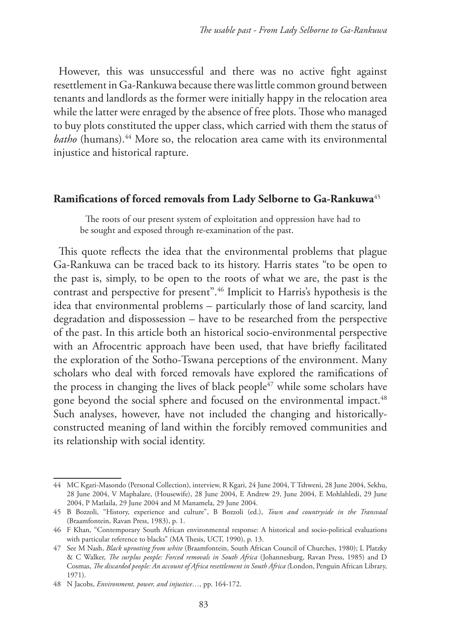However, this was unsuccessful and there was no active fight against resettlement in Ga-Rankuwa because there was little common ground between tenants and landlords as the former were initially happy in the relocation area while the latter were enraged by the absence of free plots. Those who managed to buy plots constituted the upper class, which carried with them the status of *batho* (humans).44 More so, the relocation area came with its environmental injustice and historical rapture.

#### **Ramifications of forced removals from Lady Selborne to Ga-Rankuwa**<sup>45</sup>

The roots of our present system of exploitation and oppression have had to be sought and exposed through re-examination of the past.

This quote reflects the idea that the environmental problems that plague Ga-Rankuwa can be traced back to its history. Harris states "to be open to the past is, simply, to be open to the roots of what we are, the past is the contrast and perspective for present".46 Implicit to Harris's hypothesis is the idea that environmental problems – particularly those of land scarcity, land degradation and dispossession – have to be researched from the perspective of the past. In this article both an historical socio-environmental perspective with an Afrocentric approach have been used, that have briefly facilitated the exploration of the Sotho-Tswana perceptions of the environment. Many scholars who deal with forced removals have explored the ramifications of the process in changing the lives of black people $47$  while some scholars have gone beyond the social sphere and focused on the environmental impact.<sup>48</sup> Such analyses, however, have not included the changing and historicallyconstructed meaning of land within the forcibly removed communities and its relationship with social identity.

<sup>44</sup> MC Kgari-Masondo (Personal Collection), interview, R Kgari, 24 June 2004, T Tshweni, 28 June 2004, Sekhu, 28 June 2004, V Maphalare, (Housewife), 28 June 2004, E Andrew 29, June 2004, E Mohlahledi, 29 June 2004, P Matlaila, 29 June 2004 and M Manamela, 29 June 2004.

<sup>45</sup> B Bozzoli, "History, experience and culture", B Bozzoli (ed.), *Town and countryside in the Transvaal*  (Braamfontein, Ravan Press, 1983), p. 1.

<sup>46</sup> F Khan, "Contemporary South African environmental response: A historical and socio-political evaluations with particular reference to blacks" (MA Thesis, UCT, 1990), p. 13.

<sup>47</sup> See M Nash, *Black uprooting from white* (Braamfontein, South African Council of Churches, 1980); L Platzky & C Walker, *The surplus people: Forced removals in South Africa* (Johannesburg, Ravan Press, 1985) and D Cosmas, *The discarded people: An account of Africa resettlement in South Africa (*London, Penguin African Library, 1971).

<sup>48</sup> N Jacobs, *Environment, power, and injustice…,* pp. 164-172.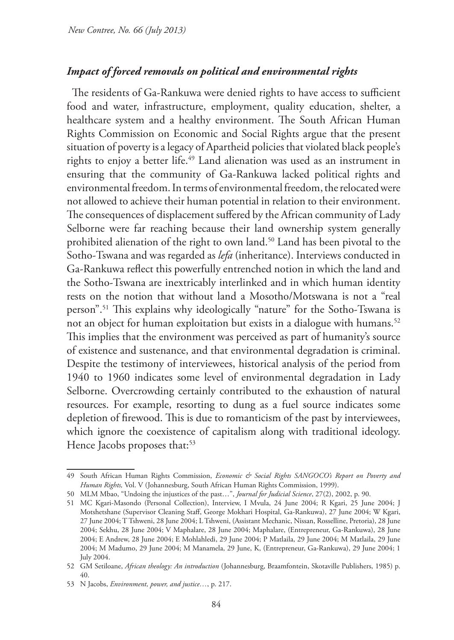## *Impact of forced removals on political and environmental rights*

The residents of Ga-Rankuwa were denied rights to have access to sufficient food and water, infrastructure, employment, quality education, shelter, a healthcare system and a healthy environment. The South African Human Rights Commission on Economic and Social Rights argue that the present situation of poverty is a legacy of Apartheid policies that violated black people's rights to enjoy a better life.<sup>49</sup> Land alienation was used as an instrument in ensuring that the community of Ga-Rankuwa lacked political rights and environmental freedom. In terms of environmental freedom, the relocated were not allowed to achieve their human potential in relation to their environment. The consequences of displacement suffered by the African community of Lady Selborne were far reaching because their land ownership system generally prohibited alienation of the right to own land.<sup>50</sup> Land has been pivotal to the Sotho-Tswana and was regarded as *lefa* (inheritance). Interviews conducted in Ga-Rankuwa reflect this powerfully entrenched notion in which the land and the Sotho-Tswana are inextricably interlinked and in which human identity rests on the notion that without land a Mosotho/Motswana is not a "real person".51 This explains why ideologically "nature" for the Sotho-Tswana is not an object for human exploitation but exists in a dialogue with humans.<sup>52</sup> This implies that the environment was perceived as part of humanity's source of existence and sustenance, and that environmental degradation is criminal. Despite the testimony of interviewees, historical analysis of the period from 1940 to 1960 indicates some level of environmental degradation in Lady Selborne. Overcrowding certainly contributed to the exhaustion of natural resources. For example, resorting to dung as a fuel source indicates some depletion of firewood. This is due to romanticism of the past by interviewees, which ignore the coexistence of capitalism along with traditional ideology. Hence Jacobs proposes that:<sup>53</sup>

<sup>49</sup> South African Human Rights Commission, *Economic & Social Rights SANGOCO's Report on Poverty and Human Rights,* Vol. V (Johannesburg, South African Human Rights Commission, 1999).

<sup>50</sup> MLM Mbao, "Undoing the injustices of the past…", *Journal for Judicial Science*, 27(2), 2002, p. 90.

<sup>51</sup> MC Kgari-Masondo (Personal Collection), Interview, I Mvula, 24 June 2004; R Kgari, 25 June 2004; J Motshetshane (Supervisor Cleaning Staff, George Mokhari Hospital, Ga-Rankuwa), 27 June 2004; W Kgari, 27 June 2004; T Tshweni, 28 June 2004; L Tshweni, (Assistant Mechanic, Nissan, Rosselline, Pretoria), 28 June 2004; Sekhu, 28 June 2004; V Maphalare, 28 June 2004; Maphalare, (Entrepreneur, Ga-Rankuwa), 28 June 2004; E Andrew, 28 June 2004; E Mohlahledi, 29 June 2004; P Matlaila, 29 June 2004; M Matlaila, 29 June 2004; M Madumo, 29 June 2004; M Manamela, 29 June, K, (Entrepreneur, Ga-Rankuwa), 29 June 2004; 1 July 2004.

<sup>52</sup> GM Setiloane, *African theology: An introduction* (Johannesburg, Braamfontein, Skotaville Publishers, 1985) p. 40.

<sup>53</sup> N Jacobs, *Environment, power, and justice…*, p. 217.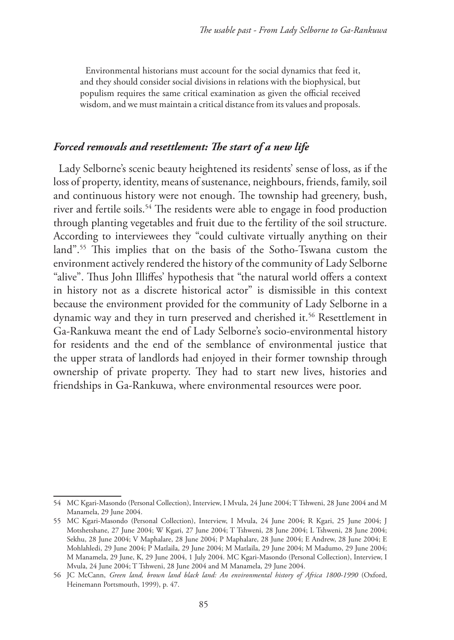Environmental historians must account for the social dynamics that feed it, and they should consider social divisions in relations with the biophysical, but populism requires the same critical examination as given the official received wisdom, and we must maintain a critical distance from its values and proposals.

## *Forced removals and resettlement: The start of a new life*

Lady Selborne's scenic beauty heightened its residents' sense of loss, as if the loss of property, identity, means of sustenance, neighbours, friends, family, soil and continuous history were not enough. The township had greenery, bush, river and fertile soils.<sup>54</sup> The residents were able to engage in food production through planting vegetables and fruit due to the fertility of the soil structure. According to interviewees they "could cultivate virtually anything on their land".55 This implies that on the basis of the Sotho-Tswana custom the environment actively rendered the history of the community of Lady Selborne "alive". Thus John Illiffes' hypothesis that "the natural world offers a context in history not as a discrete historical actor" is dismissible in this context because the environment provided for the community of Lady Selborne in a dynamic way and they in turn preserved and cherished it.<sup>56</sup> Resettlement in Ga-Rankuwa meant the end of Lady Selborne's socio-environmental history for residents and the end of the semblance of environmental justice that the upper strata of landlords had enjoyed in their former township through ownership of private property. They had to start new lives, histories and friendships in Ga-Rankuwa, where environmental resources were poor.

<sup>54</sup> MC Kgari-Masondo (Personal Collection), Interview, I Mvula, 24 June 2004; T Tshweni, 28 June 2004 and M Manamela, 29 June 2004.

<sup>55</sup> MC Kgari-Masondo (Personal Collection), Interview, I Mvula, 24 June 2004; R Kgari, 25 June 2004; J Motshetshane, 27 June 2004; W Kgari, 27 June 2004; T Tshweni, 28 June 2004; L Tshweni, 28 June 2004; Sekhu, 28 June 2004; V Maphalare, 28 June 2004; P Maphalare, 28 June 2004; E Andrew, 28 June 2004; E Mohlahledi, 29 June 2004; P Matlaila, 29 June 2004; M Matlaila, 29 June 2004; M Madumo, 29 June 2004; M Manamela, 29 June, K, 29 June 2004, 1 July 2004. MC Kgari-Masondo (Personal Collection), Interview, I Mvula, 24 June 2004; T Tshweni, 28 June 2004 and M Manamela, 29 June 2004.

<sup>56</sup> JC McCann, *Green land, brown land black land: An environmental history of Africa 1800-1990* (Oxford, Heinemann Portsmouth, 1999), p. 47.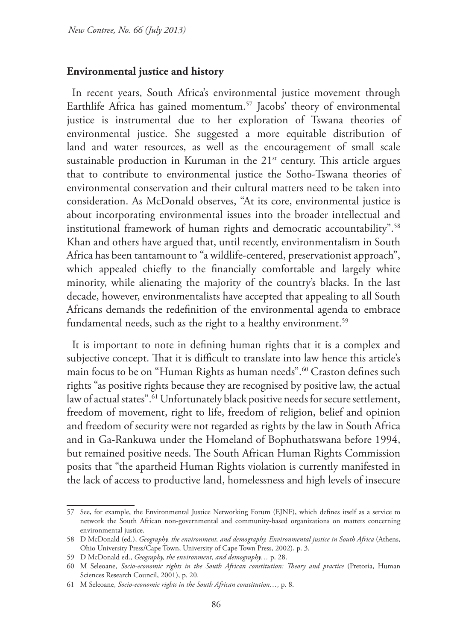## **Environmental justice and history**

In recent years, South Africa's environmental justice movement through Earthlife Africa has gained momentum.<sup>57</sup> Jacobs' theory of environmental justice is instrumental due to her exploration of Tswana theories of environmental justice. She suggested a more equitable distribution of land and water resources, as well as the encouragement of small scale sustainable production in Kuruman in the  $21<sup>st</sup>$  century. This article argues that to contribute to environmental justice the Sotho-Tswana theories of environmental conservation and their cultural matters need to be taken into consideration. As McDonald observes, "At its core, environmental justice is about incorporating environmental issues into the broader intellectual and institutional framework of human rights and democratic accountability".<sup>58</sup> Khan and others have argued that, until recently, environmentalism in South Africa has been tantamount to "a wildlife-centered, preservationist approach", which appealed chiefly to the financially comfortable and largely white minority, while alienating the majority of the country's blacks. In the last decade, however, environmentalists have accepted that appealing to all South Africans demands the redefinition of the environmental agenda to embrace fundamental needs, such as the right to a healthy environment.<sup>59</sup>

It is important to note in defining human rights that it is a complex and subjective concept. That it is difficult to translate into law hence this article's main focus to be on "Human Rights as human needs".<sup>60</sup> Craston defines such rights "as positive rights because they are recognised by positive law, the actual law of actual states".<sup>61</sup> Unfortunately black positive needs for secure settlement, freedom of movement, right to life, freedom of religion, belief and opinion and freedom of security were not regarded as rights by the law in South Africa and in Ga-Rankuwa under the Homeland of Bophuthatswana before 1994, but remained positive needs. The South African Human Rights Commission posits that "the apartheid Human Rights violation is currently manifested in the lack of access to productive land, homelessness and high levels of insecure

<sup>57</sup> See, for example, the Environmental Justice Networking Forum (EJNF), which defines itself as a service to network the South African non-governmental and community-based organizations on matters concerning environmental justice.

<sup>58</sup> D McDonald (ed.), *Geography, the environment, and demography. Environmental justice in South Africa* (Athens, Ohio University Press/Cape Town, University of Cape Town Press, 2002), p. 3.

<sup>59</sup> D McDonald ed., *Geography, the environment, and demography…* p. 28.

<sup>60</sup> M Seleoane, *Socio-economic rights in the South African constitution: Theory and practice* (Pretoria, Human Sciences Research Council, 2001), p. 20.

<sup>61</sup> M Seleoane, *Socio-economic rights in the South African constitution…,* p. 8.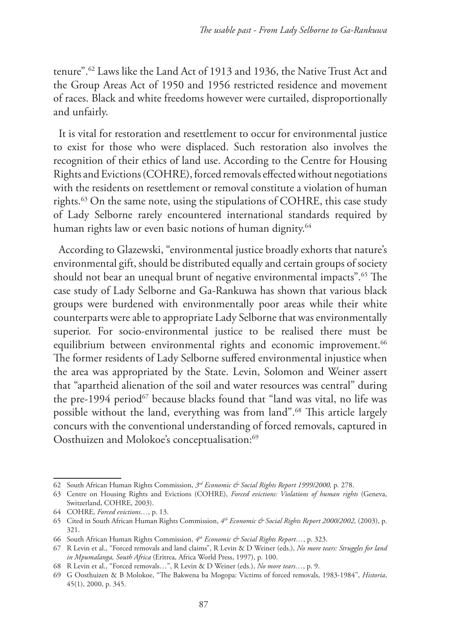tenure".62 Laws like the Land Act of 1913 and 1936, the Native Trust Act and the Group Areas Act of 1950 and 1956 restricted residence and movement of races. Black and white freedoms however were curtailed, disproportionally and unfairly.

It is vital for restoration and resettlement to occur for environmental justice to exist for those who were displaced. Such restoration also involves the recognition of their ethics of land use. According to the Centre for Housing Rights and Evictions (COHRE), forced removals effected without negotiations with the residents on resettlement or removal constitute a violation of human rights.<sup>63</sup> On the same note, using the stipulations of COHRE, this case study of Lady Selborne rarely encountered international standards required by human rights law or even basic notions of human dignity.<sup>64</sup>

According to Glazewski, "environmental justice broadly exhorts that nature's environmental gift, should be distributed equally and certain groups of society should not bear an unequal brunt of negative environmental impacts".<sup>65</sup> The case study of Lady Selborne and Ga-Rankuwa has shown that various black groups were burdened with environmentally poor areas while their white counterparts were able to appropriate Lady Selborne that was environmentally superior. For socio-environmental justice to be realised there must be equilibrium between environmental rights and economic improvement.<sup>66</sup> The former residents of Lady Selborne suffered environmental injustice when the area was appropriated by the State. Levin, Solomon and Weiner assert that "apartheid alienation of the soil and water resources was central" during the pre-1994 period<sup>67</sup> because blacks found that "land was vital, no life was possible without the land, everything was from land".68 This article largely concurs with the conventional understanding of forced removals, captured in Oosthuizen and Molokoe's conceptualisation:<sup>69</sup>

<sup>62</sup> South African Human Rights Commission, *3rd Economic & Social Rights Report 1999/2000,* p*.* 278.

<sup>63</sup> Centre on Housing Rights and Evictions (COHRE), *Forced evictions: Violations of human rights* (Geneva, Switzerland, COHRE, 2003).

<sup>64</sup> COHRE, *Forced evictions…*, p. 13.

<sup>65</sup> Cited in South African Human Rights Commission, *4th Economic & Social Rights Report 2000/2002,* (2003), p. 321.

<sup>66</sup> South African Human Rights Commission, *4th Economic & Social Rights Report…*, p. 323.

<sup>67</sup> R Levin et al., "Forced removals and land claims", R Levin & D Weiner (eds.), *No more tears: Struggles for land in Mpumalanga, South Africa* (Eritrea, Africa World Press, 1997), p. 100.

<sup>68</sup> R Levin et al., "Forced removals…", R Levin & D Weiner (eds.), *No more tears…*, p. 9.

<sup>69</sup> G Oosthuizen & B Molokoe, "The Bakwena ba Mogopa: Victims of forced removals, 1983-1984", *Historia*, 45(1), 2000, p. 345.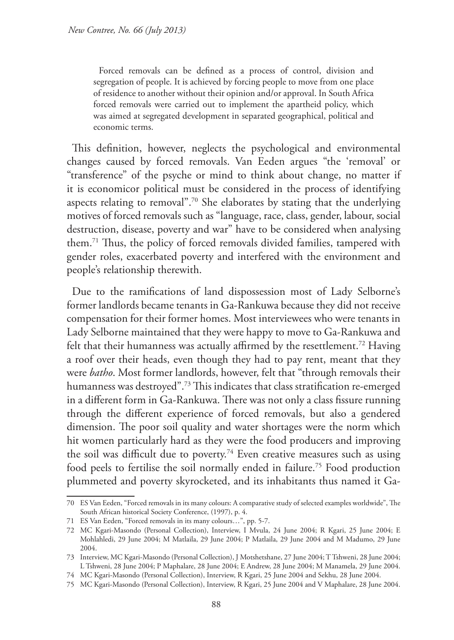Forced removals can be defined as a process of control, division and segregation of people. It is achieved by forcing people to move from one place of residence to another without their opinion and/or approval. In South Africa forced removals were carried out to implement the apartheid policy, which was aimed at segregated development in separated geographical, political and economic terms.

This definition, however, neglects the psychological and environmental changes caused by forced removals. Van Eeden argues "the 'removal' or "transference" of the psyche or mind to think about change, no matter if it is economicor political must be considered in the process of identifying aspects relating to removal".70 She elaborates by stating that the underlying motives of forced removals such as "language, race, class, gender, labour, social destruction, disease, poverty and war" have to be considered when analysing them.71 Thus, the policy of forced removals divided families, tampered with gender roles, exacerbated poverty and interfered with the environment and people's relationship therewith.

Due to the ramifications of land dispossession most of Lady Selborne's former landlords became tenants in Ga-Rankuwa because they did not receive compensation for their former homes. Most interviewees who were tenants in Lady Selborne maintained that they were happy to move to Ga-Rankuwa and felt that their humanness was actually affirmed by the resettlement.<sup>72</sup> Having a roof over their heads, even though they had to pay rent, meant that they were *batho*. Most former landlords, however, felt that "through removals their humanness was destroyed".<sup>73</sup> This indicates that class stratification re-emerged in a different form in Ga-Rankuwa. There was not only a class fissure running through the different experience of forced removals, but also a gendered dimension. The poor soil quality and water shortages were the norm which hit women particularly hard as they were the food producers and improving the soil was difficult due to poverty.<sup>74</sup> Even creative measures such as using food peels to fertilise the soil normally ended in failure.<sup>75</sup> Food production plummeted and poverty skyrocketed, and its inhabitants thus named it Ga-

<sup>70</sup> ES Van Eeden, "Forced removals in its many colours: A comparative study of selected examples worldwide", The South African historical Society Conference, (1997), p. 4.

<sup>71</sup> ES Van Eeden, "Forced removals in its many colours…", pp. 5-7.

<sup>72</sup> MC Kgari-Masondo (Personal Collection), Interview, I Mvula, 24 June 2004; R Kgari, 25 June 2004; E Mohlahledi, 29 June 2004; M Matlaila, 29 June 2004; P Matlaila, 29 June 2004 and M Madumo, 29 June 2004.

<sup>73</sup> Interview, MC Kgari-Masondo (Personal Collection), J Motshetshane, 27 June 2004; T Tshweni, 28 June 2004; L Tshweni, 28 June 2004; P Maphalare, 28 June 2004; E Andrew, 28 June 2004; M Manamela, 29 June 2004.

<sup>74</sup> MC Kgari-Masondo (Personal Collection), Interview, R Kgari, 25 June 2004 and Sekhu, 28 June 2004.

<sup>75</sup> MC Kgari-Masondo (Personal Collection), Interview, R Kgari, 25 June 2004 and V Maphalare, 28 June 2004.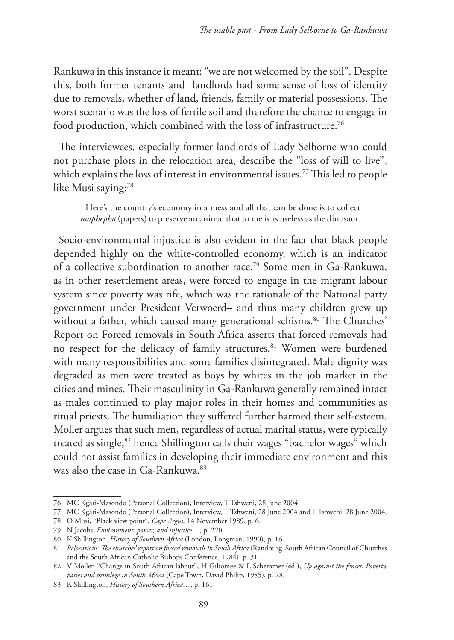Rankuwa in this instance it meant: "we are not welcomed by the soil". Despite this, both former tenants and landlords had some sense of loss of identity due to removals, whether of land, friends, family or material possessions. The worst scenario was the loss of fertile soil and therefore the chance to engage in food production, which combined with the loss of infrastructure.<sup>76</sup>

The interviewees, especially former landlords of Lady Selborne who could not purchase plots in the relocation area, describe the "loss of will to live", which explains the loss of interest in environmental issues.<sup>77</sup> This led to people like Musi saying:<sup>78</sup>

Here's the country's economy in a mess and all that can be done is to collect *maphepha* (papers) to preserve an animal that to me is as useless as the dinosaur.

Socio-environmental injustice is also evident in the fact that black people depended highly on the white-controlled economy, which is an indicator of a collective subordination to another race.79 Some men in Ga-Rankuwa, as in other resettlement areas, were forced to engage in the migrant labour system since poverty was rife, which was the rationale of the National party government under President Verwoerd– and thus many children grew up without a father, which caused many generational schisms.<sup>80</sup> The Churches' Report on Forced removals in South Africa asserts that forced removals had no respect for the delicacy of family structures.<sup>81</sup> Women were burdened with many responsibilities and some families disintegrated. Male dignity was degraded as men were treated as boys by whites in the job market in the cities and mines. Their masculinity in Ga-Rankuwa generally remained intact as males continued to play major roles in their homes and communities as ritual priests. The humiliation they suffered further harmed their self-esteem. Moller argues that such men, regardless of actual marital status, were typically treated as single,<sup>82</sup> hence Shillington calls their wages "bachelor wages" which could not assist families in developing their immediate environment and this was also the case in Ga-Rankuwa.<sup>83</sup>

<sup>76</sup> MC Kgari-Masondo (Personal Collection), Interview, T Tshweni, 28 June 2004.

<sup>77</sup> MC Kgari-Masondo (Personal Collection), Interview, T Tshweni, 28 June 2004 and L Tshweni, 28 June 2004.

<sup>78</sup> O Musi, "Black view point", *Cape Argus,* 14 November 1989, p. 6.

<sup>79</sup> N Jacobs, *Environment, power, and injustice…,* p. 220.

<sup>80</sup> K Shillington, *History of Southern Africa* (London, Longman, 1990), p. 161.

<sup>81</sup> *Relocations: The churches' report on forced removals in South Africa* (Randburg, South African Council of Churches and the South African Catholic Bishops Conference, 1984), p. 31.

<sup>82</sup> V Moller, "Change in South African labour", H Giliomee & L Schemmer (ed.), *Up against the fences: Poverty, passes and privilege in South Africa* (Cape Town, David Philip, 1985), p. 28.

<sup>83</sup> K Shillington, *History of Southern Africa…*, p. 161.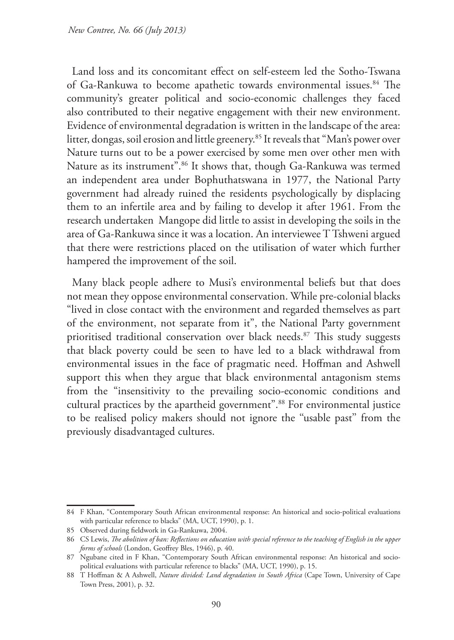Land loss and its concomitant effect on self-esteem led the Sotho-Tswana of Ga-Rankuwa to become apathetic towards environmental issues.<sup>84</sup> The community's greater political and socio-economic challenges they faced also contributed to their negative engagement with their new environment. Evidence of environmental degradation is written in the landscape of the area: litter, dongas, soil erosion and little greenery.85 It reveals that "Man's power over Nature turns out to be a power exercised by some men over other men with Nature as its instrument".86 It shows that, though Ga-Rankuwa was termed an independent area under Bophuthatswana in 1977, the National Party government had already ruined the residents psychologically by displacing them to an infertile area and by failing to develop it after 1961. From the research undertaken Mangope did little to assist in developing the soils in the area of Ga-Rankuwa since it was a location. An interviewee T Tshweni argued that there were restrictions placed on the utilisation of water which further hampered the improvement of the soil.

Many black people adhere to Musi's environmental beliefs but that does not mean they oppose environmental conservation. While pre-colonial blacks "lived in close contact with the environment and regarded themselves as part of the environment, not separate from it", the National Party government prioritised traditional conservation over black needs.<sup>87</sup> This study suggests that black poverty could be seen to have led to a black withdrawal from environmental issues in the face of pragmatic need. Hoffman and Ashwell support this when they argue that black environmental antagonism stems from the "insensitivity to the prevailing socio-economic conditions and cultural practices by the apartheid government".<sup>88</sup> For environmental justice to be realised policy makers should not ignore the ''usable past'' from the previously disadvantaged cultures.

<sup>84</sup> F Khan, "Contemporary South African environmental response: An historical and socio-political evaluations with particular reference to blacks" (MA, UCT, 1990), p. 1.

<sup>85</sup> Observed during fieldwork in Ga-Rankuwa, 2004.

<sup>86</sup> CS Lewis, *The abolition of ban: Reflections on education with special reference to the teaching of English in the upper forms of schools* (London, Geoffrey Bles, 1946), p. 40.

<sup>87</sup> Ngubane cited in F Khan, "Contemporary South African environmental response: An historical and sociopolitical evaluations with particular reference to blacks" (MA, UCT, 1990), p. 15.

<sup>88</sup> T Hoffman & A Ashwell, *Nature divided: Land degradation in South Africa* (Cape Town, University of Cape Town Press, 2001), p. 32.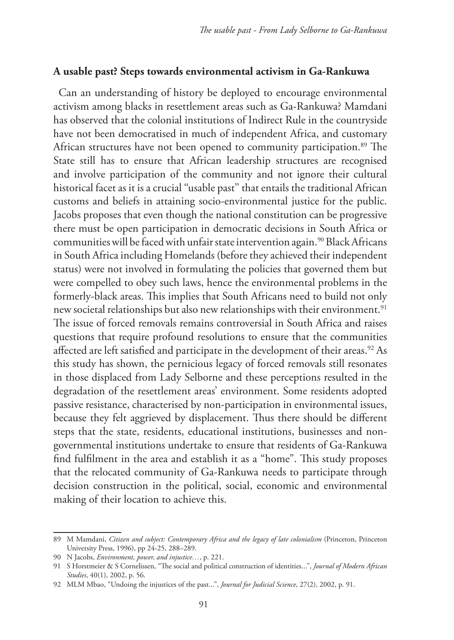#### **A usable past? Steps towards environmental activism in Ga-Rankuwa**

Can an understanding of history be deployed to encourage environmental activism among blacks in resettlement areas such as Ga-Rankuwa? Mamdani has observed that the colonial institutions of Indirect Rule in the countryside have not been democratised in much of independent Africa, and customary African structures have not been opened to community participation.<sup>89</sup> The State still has to ensure that African leadership structures are recognised and involve participation of the community and not ignore their cultural historical facet as it is a crucial ''usable past'' that entails the traditional African customs and beliefs in attaining socio-environmental justice for the public. Jacobs proposes that even though the national constitution can be progressive there must be open participation in democratic decisions in South Africa or communities will be faced with unfair state intervention again.<sup>90</sup> Black Africans in South Africa including Homelands (before they achieved their independent status) were not involved in formulating the policies that governed them but were compelled to obey such laws, hence the environmental problems in the formerly-black areas. This implies that South Africans need to build not only new societal relationships but also new relationships with their environment.<sup>91</sup> The issue of forced removals remains controversial in South Africa and raises questions that require profound resolutions to ensure that the communities affected are left satisfied and participate in the development of their areas.<sup>92</sup> As this study has shown, the pernicious legacy of forced removals still resonates in those displaced from Lady Selborne and these perceptions resulted in the degradation of the resettlement areas' environment. Some residents adopted passive resistance, characterised by non-participation in environmental issues, because they felt aggrieved by displacement. Thus there should be different steps that the state, residents, educational institutions, businesses and nongovernmental institutions undertake to ensure that residents of Ga-Rankuwa find fulfilment in the area and establish it as a "home". This study proposes that the relocated community of Ga-Rankuwa needs to participate through decision construction in the political, social, economic and environmental making of their location to achieve this.

<sup>89</sup> M Mamdani, *Citizen and subject: Contemporary Africa and the legacy of late colonialism* (Princeton, Princeton University Press, 1996), pp 24-25, 288–289.

<sup>90</sup> N Jacobs, *Environment, power, and injustice…*, p. 221.

<sup>91</sup> S Horstmeier & S Cornelissen, "The social and political construction of identities...", *Journal of Modern African Studies*, 40(1), 2002, p. 56.

<sup>92</sup> MLM Mbao, "Undoing the injustices of the past...", *Journal for Judicial Science*, 27(2), 2002, p. 91.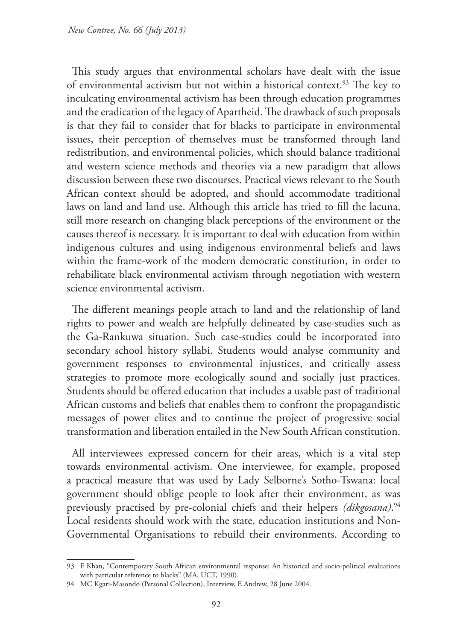This study argues that environmental scholars have dealt with the issue of environmental activism but not within a historical context.<sup>93</sup> The key to inculcating environmental activism has been through education programmes and the eradication of the legacy of Apartheid. The drawback of such proposals is that they fail to consider that for blacks to participate in environmental issues, their perception of themselves must be transformed through land redistribution, and environmental policies, which should balance traditional and western science methods and theories via a new paradigm that allows discussion between these two discourses. Practical views relevant to the South African context should be adopted, and should accommodate traditional laws on land and land use. Although this article has tried to fill the lacuna, still more research on changing black perceptions of the environment or the causes thereof is necessary. It is important to deal with education from within indigenous cultures and using indigenous environmental beliefs and laws within the frame-work of the modern democratic constitution, in order to rehabilitate black environmental activism through negotiation with western science environmental activism.

The different meanings people attach to land and the relationship of land rights to power and wealth are helpfully delineated by case-studies such as the Ga-Rankuwa situation. Such case-studies could be incorporated into secondary school history syllabi. Students would analyse community and government responses to environmental injustices, and critically assess strategies to promote more ecologically sound and socially just practices. Students should be offered education that includes a usable past of traditional African customs and beliefs that enables them to confront the propagandistic messages of power elites and to continue the project of progressive social transformation and liberation entailed in the New South African constitution.

All interviewees expressed concern for their areas, which is a vital step towards environmental activism. One interviewee, for example, proposed a practical measure that was used by Lady Selborne's Sotho-Tswana: local government should oblige people to look after their environment, as was previously practised by pre-colonial chiefs and their helpers *(dikgosana)*. 94 Local residents should work with the state, education institutions and Non-Governmental Organisations to rebuild their environments. According to

<sup>93</sup> F Khan, "Contemporary South African environmental response: An historical and socio-political evaluations with particular reference to blacks" (MA, UCT, 1990).

<sup>94</sup> MC Kgari-Masondo (Personal Collection), Interview, E Andrew, 28 June 2004.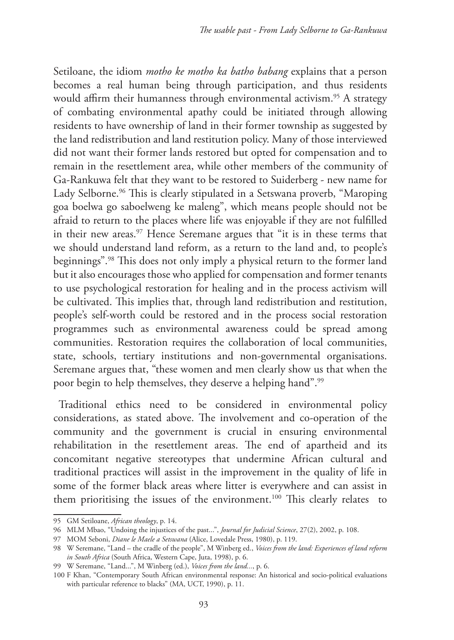Setiloane, the idiom *motho ke motho ka batho babang* explains that a person becomes a real human being through participation, and thus residents would affirm their humanness through environmental activism.<sup>95</sup> A strategy of combating environmental apathy could be initiated through allowing residents to have ownership of land in their former township as suggested by the land redistribution and land restitution policy. Many of those interviewed did not want their former lands restored but opted for compensation and to remain in the resettlement area, while other members of the community of Ga-Rankuwa felt that they want to be restored to Suiderberg - new name for Lady Selborne.<sup>96</sup> This is clearly stipulated in a Setswana proverb, "Maroping goa boelwa go saboelweng ke maleng", which means people should not be afraid to return to the places where life was enjoyable if they are not fulfilled in their new areas.<sup>97</sup> Hence Seremane argues that "it is in these terms that we should understand land reform, as a return to the land and, to people's beginnings".98 This does not only imply a physical return to the former land but it also encourages those who applied for compensation and former tenants to use psychological restoration for healing and in the process activism will be cultivated. This implies that, through land redistribution and restitution, people's self-worth could be restored and in the process social restoration programmes such as environmental awareness could be spread among communities. Restoration requires the collaboration of local communities, state, schools, tertiary institutions and non-governmental organisations. Seremane argues that, "these women and men clearly show us that when the poor begin to help themselves, they deserve a helping hand".<sup>99</sup>

Traditional ethics need to be considered in environmental policy considerations, as stated above. The involvement and co-operation of the community and the government is crucial in ensuring environmental rehabilitation in the resettlement areas. The end of apartheid and its concomitant negative stereotypes that undermine African cultural and traditional practices will assist in the improvement in the quality of life in some of the former black areas where litter is everywhere and can assist in them prioritising the issues of the environment.<sup>100</sup> This clearly relates to

<sup>95</sup> GM Setiloane, *African theology*, p. 14.

<sup>96</sup> MLM Mbao, "Undoing the injustices of the past...", *Journal for Judicial Science*, 27(2), 2002, p. 108.

<sup>97</sup> MOM Seboni, *Diane le Maele a Setswana* (Alice, Lovedale Press, 1980), p. 119.

<sup>98</sup> W Seremane, "Land – the cradle of the people", M Winberg ed., *Voices from the land: Experiences of land reform in South Africa* (South Africa, Western Cape, Juta, 1998), p. 6.

<sup>99</sup> W Seremane, "Land...", M Winberg (ed.), *Voices from the land...*, p. 6.

<sup>100</sup> F Khan, "Contemporary South African environmental response: An historical and socio-political evaluations with particular reference to blacks" (MA, UCT, 1990), p. 11.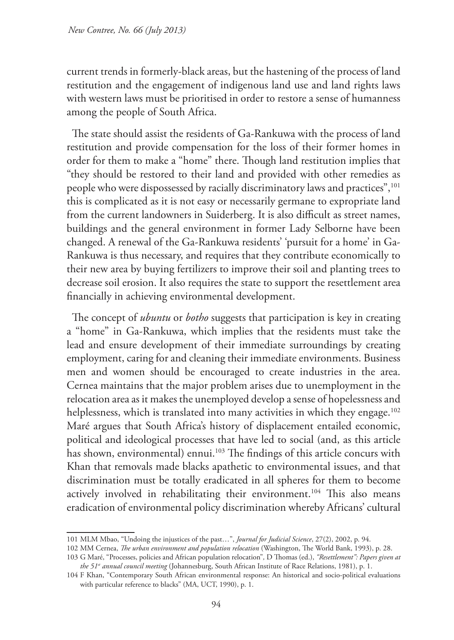current trends in formerly-black areas, but the hastening of the process of land restitution and the engagement of indigenous land use and land rights laws with western laws must be prioritised in order to restore a sense of humanness among the people of South Africa.

The state should assist the residents of Ga-Rankuwa with the process of land restitution and provide compensation for the loss of their former homes in order for them to make a "home" there. Though land restitution implies that "they should be restored to their land and provided with other remedies as people who were dispossessed by racially discriminatory laws and practices",<sup>101</sup> this is complicated as it is not easy or necessarily germane to expropriate land from the current landowners in Suiderberg. It is also difficult as street names, buildings and the general environment in former Lady Selborne have been changed. A renewal of the Ga-Rankuwa residents' 'pursuit for a home' in Ga-Rankuwa is thus necessary, and requires that they contribute economically to their new area by buying fertilizers to improve their soil and planting trees to decrease soil erosion. It also requires the state to support the resettlement area financially in achieving environmental development.

The concept of *ubuntu* or *botho* suggests that participation is key in creating a "home" in Ga-Rankuwa, which implies that the residents must take the lead and ensure development of their immediate surroundings by creating employment, caring for and cleaning their immediate environments. Business men and women should be encouraged to create industries in the area. Cernea maintains that the major problem arises due to unemployment in the relocation area as it makes the unemployed develop a sense of hopelessness and helplessness, which is translated into many activities in which they engage.<sup>102</sup> Maré argues that South Africa's history of displacement entailed economic, political and ideological processes that have led to social (and, as this article has shown, environmental) ennui.<sup>103</sup> The findings of this article concurs with Khan that removals made blacks apathetic to environmental issues, and that discrimination must be totally eradicated in all spheres for them to become actively involved in rehabilitating their environment.104 This also means eradication of environmental policy discrimination whereby Africans' cultural

<sup>101</sup> MLM Mbao, "Undoing the injustices of the past…", *Journal for Judicial Science*, 27(2), 2002, p. 94.

<sup>102</sup> MM Cernea, *The urban environment and population relocation* (Washington, The World Bank, 1993), p. 28.

<sup>103</sup> G Maré, "Processes, policies and African population relocation"*,* D Thomas (ed.), *"Resettlement": Papers given at*  the 51<sup>st</sup> annual council meeting (Johannesburg, South African Institute of Race Relations, 1981), p. 1.

<sup>104</sup> F Khan, "Contemporary South African environmental response: An historical and socio-political evaluations with particular reference to blacks" (MA, UCT, 1990), p. 1.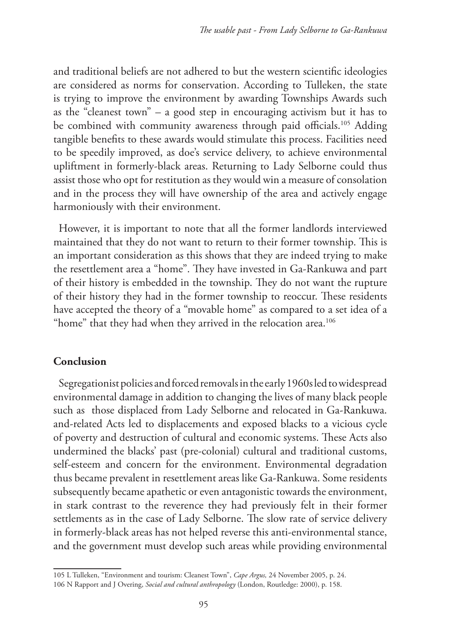and traditional beliefs are not adhered to but the western scientific ideologies are considered as norms for conservation. According to Tulleken, the state is trying to improve the environment by awarding Townships Awards such as the "cleanest town" – a good step in encouraging activism but it has to be combined with community awareness through paid officials.<sup>105</sup> Adding tangible benefits to these awards would stimulate this process. Facilities need to be speedily improved, as doe's service delivery, to achieve environmental upliftment in formerly-black areas. Returning to Lady Selborne could thus assist those who opt for restitution as they would win a measure of consolation and in the process they will have ownership of the area and actively engage harmoniously with their environment.

However, it is important to note that all the former landlords interviewed maintained that they do not want to return to their former township. This is an important consideration as this shows that they are indeed trying to make the resettlement area a "home". They have invested in Ga-Rankuwa and part of their history is embedded in the township. They do not want the rupture of their history they had in the former township to reoccur. These residents have accepted the theory of a "movable home" as compared to a set idea of a "home" that they had when they arrived in the relocation area.<sup>106</sup>

## **Conclusion**

Segregationist policies and forced removals in the early 1960s led to widespread environmental damage in addition to changing the lives of many black people such as those displaced from Lady Selborne and relocated in Ga-Rankuwa. and-related Acts led to displacements and exposed blacks to a vicious cycle of poverty and destruction of cultural and economic systems. These Acts also undermined the blacks' past (pre-colonial) cultural and traditional customs, self-esteem and concern for the environment. Environmental degradation thus became prevalent in resettlement areas like Ga-Rankuwa. Some residents subsequently became apathetic or even antagonistic towards the environment, in stark contrast to the reverence they had previously felt in their former settlements as in the case of Lady Selborne. The slow rate of service delivery in formerly-black areas has not helped reverse this anti-environmental stance, and the government must develop such areas while providing environmental

<sup>105</sup> L Tulleken, "Environment and tourism: Cleanest Town", *Cape Argus,* 24 November 2005, p. 24.

<sup>106</sup> N Rapport and J Overing, *Social and cultural anthropology* (London, Routledge: 2000), p. 158.